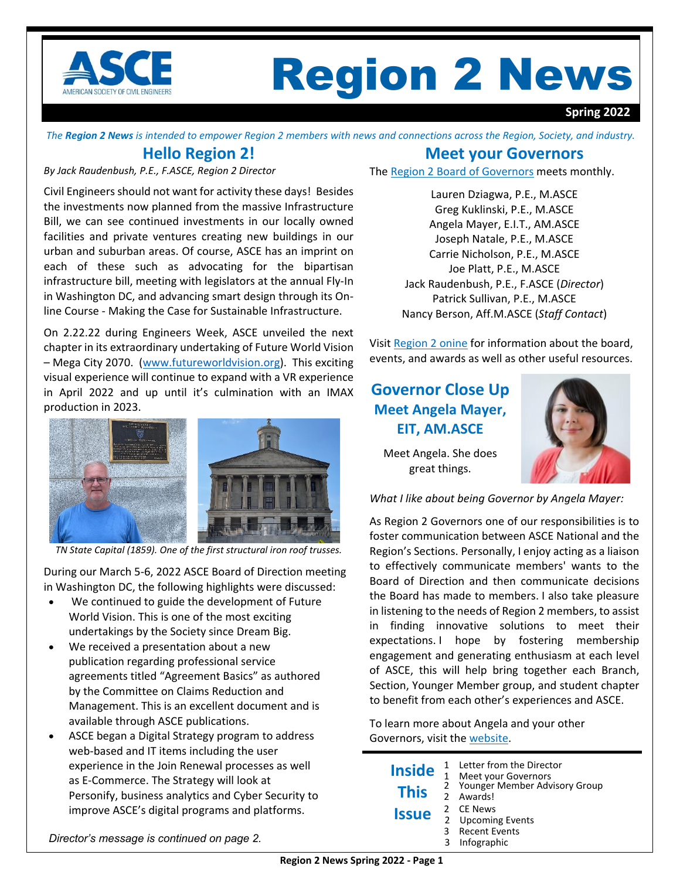

# Region 2 News

#### **Spring 2022**

The Region 2 News is intended to empower Region 2 members with news and connections across the Region, Society, and industry.

## **Hello Region 2!**

*By Jack Raudenbush, P.E., F.ASCE, Region 2 Director*

Civil Engineers should not want for activity these days! Besides the investments now planned from the massive Infrastructure Bill, we can see continued investments in our locally owned facilities and private ventures creating new buildings in our urban and suburban areas. Of course, ASCE has an imprint on each of these such as advocating for the bipartisan infrastructure bill, meeting with legislators at the annual Fly‐In in Washington DC, and advancing smart design through its On‐ line Course ‐ Making the Case for Sustainable Infrastructure.

On 2.22.22 during Engineers Week, ASCE unveiled the next chapter in its extraordinary undertaking of Future World Vision – Mega City 2070. (www.futureworldvision.org). This exciting visual experience will continue to expand with a VR experience in April 2022 and up until it's culmination with an IMAX production in 2023.



*TN State Capital (1859). One of the first structural iron roof trusses.*

During our March 5‐6, 2022 ASCE Board of Direction meeting in Washington DC, the following highlights were discussed:

- We continued to guide the development of Future World Vision. This is one of the most exciting undertakings by the Society since Dream Big.
- We received a presentation about a new publication regarding professional service agreements titled "Agreement Basics" as authored by the Committee on Claims Reduction and Management. This is an excellent document and is available through ASCE publications.
- ASCE began a Digital Strategy program to address web-based and IT items including the user experience in the Join Renewal processes as well as E‐Commerce. The Strategy will look at Personify, business analytics and Cyber Security to improve ASCE's digital programs and platforms.

## **Meet your Governors**

The Region 2 Board of [Governors](https://regions.asce.org/region2/region-2-board-directors) meets monthly.

Lauren Dziagwa, P.E., M.ASCE Greg Kuklinski, P.E., M.ASCE Angela Mayer, E.I.T., AM.ASCE Joseph Natale, P.E., M.ASCE Carrie Nicholson, P.E., M.ASCE Joe Platt, P.E., M.ASCE Jack Raudenbush, P.E., F.ASCE (*Director*) Patrick Sullivan, P.E., M.ASCE Nancy Berson, Aff.M.ASCE (*Staff Contact*)

Visit [Region](https://regions.asce.org/region2/region-2-board-directors) 2 onine for information about the board, events, and awards as well as other useful resources.

# **Governor Close Up Meet Angela Mayer, EIT, AM.ASCE**



Meet Angela. She does great things.

*What I like about being Governor by Angela Mayer:* 

As Region 2 Governors one of our responsibilities is to foster communication between ASCE National and the Region's Sections. Personally, I enjoy acting as a liaison to effectively communicate members' wants to the Board of Direction and then communicate decisions the Board has made to members. I also take pleasure in listening to the needs of Region 2 members, to assist in finding innovative solutions to meet their expectations. I hope by fostering membership engagement and generating enthusiasm at each level of ASCE, this will help bring together each Branch, Section, Younger Member group, and student chapter to benefit from each other's experiences and ASCE.

To learn more about Angela and your other Governors, visit the [website.](https://regions.asce.org/region2/region-2-board-directors)

| <b>Inside</b> | 1 | Letter from the Director<br>Meet your Governors |
|---------------|---|-------------------------------------------------|
| <b>This</b>   |   | 2 Younger Member Advisory Group<br>2 Awards     |
| <b>Issue</b>  | 2 | 2 CE News<br><b>Upcoming Events</b>             |
|               | ર | <b>Recent Events</b>                            |
|               | 3 | Infographic                                     |

*Director's message is continued on page 2.*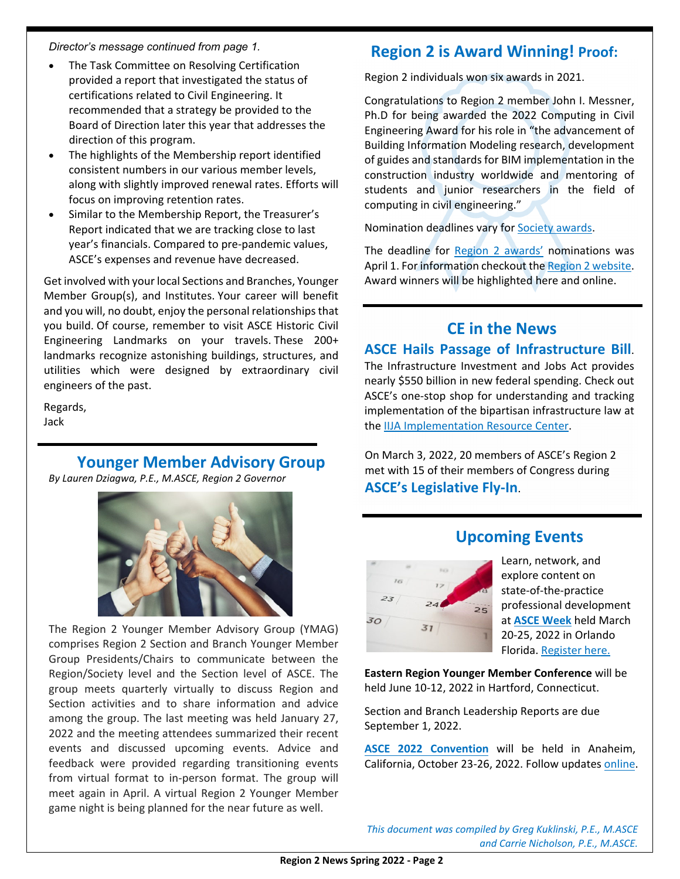*Director's message continued from page 1.* 

- The Task Committee on Resolving Certification provided a report that investigated the status of certifications related to Civil Engineering. It recommended that a strategy be provided to the Board of Direction later this year that addresses the direction of this program.
- The highlights of the Membership report identified consistent numbers in our various member levels, along with slightly improved renewal rates. Efforts will focus on improving retention rates.
- Similar to the Membership Report, the Treasurer's Report indicated that we are tracking close to last year's financials. Compared to pre‐pandemic values, ASCE's expenses and revenue have decreased.

Get involved with your local Sections and Branches, Younger Member Group(s), and Institutes. Your career will benefit and you will, no doubt, enjoy the personal relationships that you build. Of course, remember to visit ASCE Historic Civil Engineering Landmarks on your travels. These 200+ landmarks recognize astonishing buildings, structures, and utilities which were designed by extraordinary civil engineers of the past.

Regards, Jack

# **Younger Member Advisory Group**

*By Lauren Dziagwa, P.E., M.ASCE, Region 2 Governor*



The Region 2 Younger Member Advisory Group (YMAG) comprises Region 2 Section and Branch Younger Member Group Presidents/Chairs to communicate between the Region/Society level and the Section level of ASCE. The group meets quarterly virtually to discuss Region and Section activities and to share information and advice among the group. The last meeting was held January 27, 2022 and the meeting attendees summarized their recent events and discussed upcoming events. Advice and feedback were provided regarding transitioning events from virtual format to in‐person format. The group will meet again in April. A virtual Region 2 Younger Member game night is being planned for the near future as well.

# **Region 2 is Award Winning! Proof:**

Region 2 individuals won six awards in 2021.

Congratulations to Region 2 member John I. Messner, Ph.D for being awarded the 2022 Computing in Civil Engineering Award for his role in "the advancement of Building Information Modeling research, development of guides and standards for BIM implementation in the construction industry worldwide and mentoring of students and junior researchers in the field of computing in civil engineering."

Nomination deadlines vary for [Society](https://www.asce.org/career-growth/awards-and-honors) awards.

The deadline for Region 2 [awards'](https://regions.asce.org/region2/awards) nominations was April 1. For information checkout the Region 2 [website.](https://regions.asce.org/region2/) Award winners will be highlighted here and online.

## **CE in the News ASCE Hails Passage of Infrastructure Bill**.

The Infrastructure Investment and Jobs Act provides nearly \$550 billion in new federal spending. Check out ASCE's one‐stop shop for understanding and tracking implementation of the bipartisan infrastructure law at the IIJA [Implementation](https://infrastructurereportcard.org/iijaresources/) Resource Center.

On March 3, 2022, 20 members of ASCE's Region 2 met with 15 of their members of Congress during **ASCE's Legislative Fly‐In**.

# **Upcoming Events**



Learn, network, and explore content on state‐of‐the‐practice professional development at **ASCE [Week](https://www.asceweek.org/)** held March 20‐25, 2022 in Orlando Florida. [Register](https://www.asceweek.org/registration) here.

**Eastern Region Younger Member Conference** will be held June 10‐12, 2022 in Hartford, Connecticut.

Section and Branch Leadership Reports are due September 1, 2022.

**ASCE 2022 [Convention](https://www.asce.org/education-and-events/events/meetings/asce-convention-2022)** will be held in Anaheim, California, October 23‐26, 2022. Follow updates [online](https://www.asce.org/education-and-events/events/meetings/asce-convention-2022).

*This document was compiled by Greg Kuklinski, P.E., M.ASCE and Carrie Nicholson, P.E., M.ASCE.*